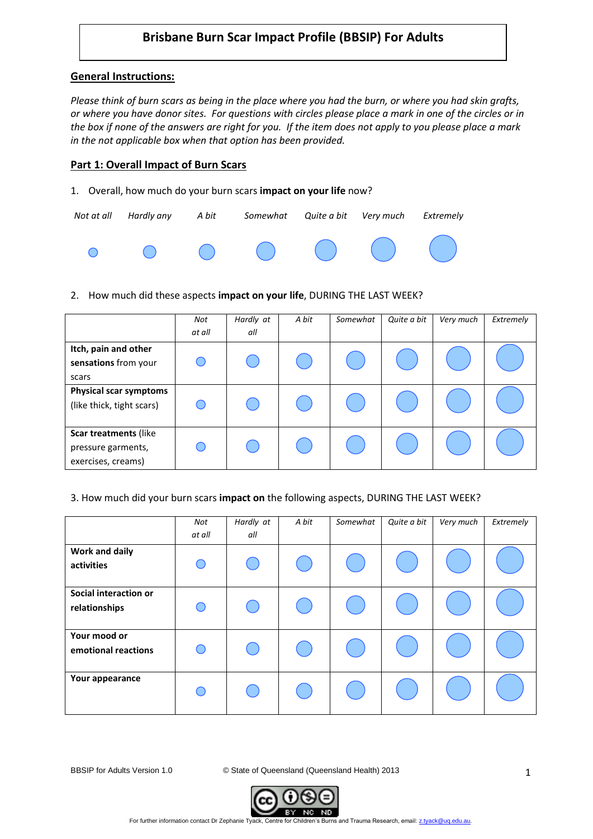# **Brisbane Burn Scar Impact Profile (BBSIP) For Adults**

# **General Instructions:**

*Please think of burn scars as being in the place where you had the burn, or where you had skin grafts, or where you have donor sites. For questions with circles please place a mark in one of the circles or in the box if none of the answers are right for you. If the item does not apply to you please place a mark in the not applicable box when that option has been provided.*

### **Part 1: Overall Impact of Burn Scars**

1. Overall, how much do your burn scars **impact on your life** now?

|  | Not at all Hardly any A bit Somewhat Quite a bit Very much Extremely                |  |  |
|--|-------------------------------------------------------------------------------------|--|--|
|  | $\begin{matrix} \circ & \circ & \circ & \circ & \circ & \circ & \circ \end{matrix}$ |  |  |

2. How much did these aspects **impact on your life**, DURING THE LAST WEEK?

|                                                                   | Not<br>at all | Hardly at<br>all | A bit | Somewhat | Quite a bit | Very much | Extremely |
|-------------------------------------------------------------------|---------------|------------------|-------|----------|-------------|-----------|-----------|
| Itch, pain and other<br>sensations from your<br>scars             |               |                  |       |          |             |           |           |
| <b>Physical scar symptoms</b><br>(like thick, tight scars)        |               |                  |       |          |             |           |           |
| Scar treatments (like<br>pressure garments,<br>exercises, creams) |               |                  |       |          |             |           |           |

#### 3. How much did your burn scars **impact on** the following aspects, DURING THE LAST WEEK?

|                                        | Not<br>at all | Hardly at<br>all | A bit | Somewhat | Quite a bit | Very much | Extremely |
|----------------------------------------|---------------|------------------|-------|----------|-------------|-----------|-----------|
| Work and daily<br>activities           |               |                  |       |          |             |           |           |
| Social interaction or<br>relationships |               |                  |       |          |             |           |           |
| Your mood or<br>emotional reactions    |               |                  |       |          |             |           |           |
| Your appearance                        |               |                  |       |          |             |           |           |

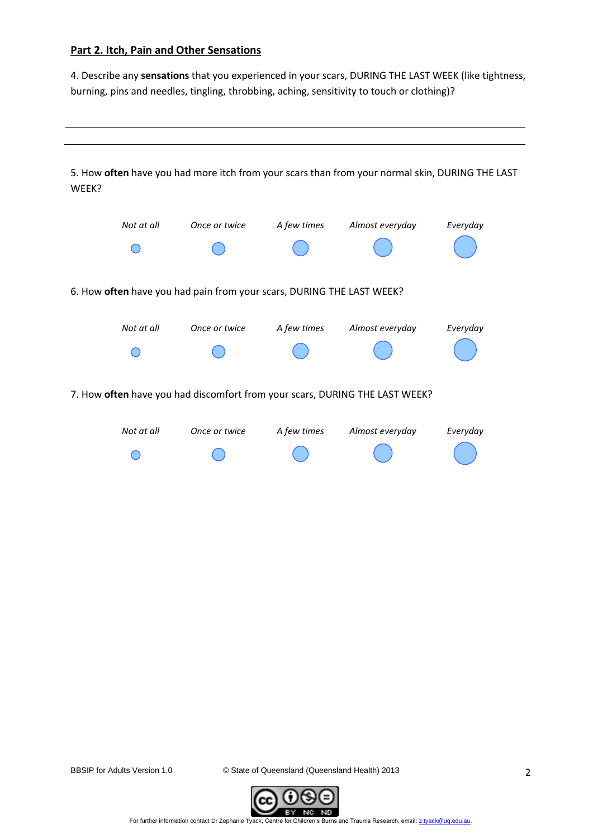# **Part 2. Itch, Pain and Other Sensations**

4. Describe any **sensations** that you experienced in your scars, DURING THE LAST WEEK (like tightness, burning, pins and needles, tingling, throbbing, aching, sensitivity to touch or clothing)?



BBSIP for Adults Version 1.0 © State of Queensland (Queensland Health) 2013

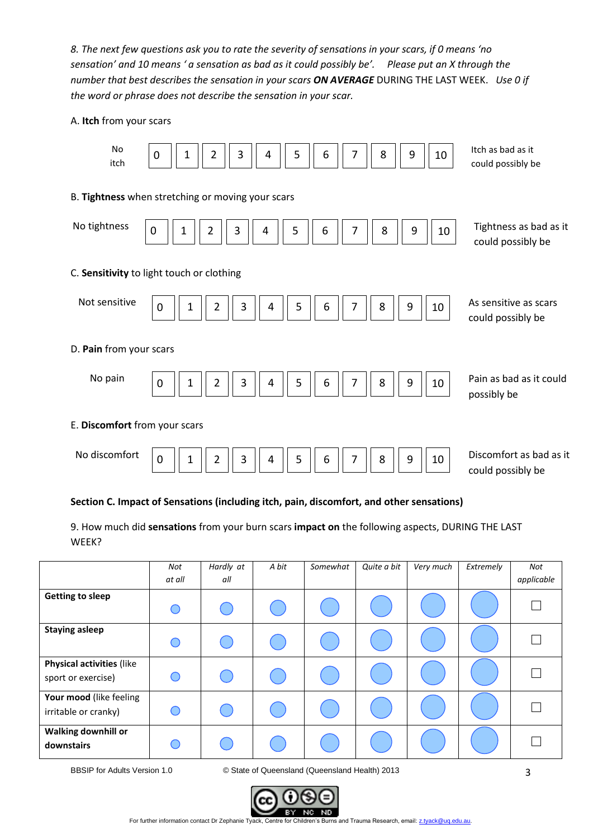*8. The next few questions ask you to rate the severity of sensations in your scars, if 0 means 'no sensation' and 10 means ' a sensation as bad as it could possibly be'. Please put an X through the number that best describes the sensation in your scars ON AVERAGE* DURING THE LAST WEEK. *Use 0 if the word or phrase does not describe the sensation in your scar.*

#### A. **Itch** from your scars



# **Section C. Impact of Sensations (including itch, pain, discomfort, and other sensations)**

9. How much did **sensations** from your burn scars **impact on** the following aspects, DURING THE LAST WEEK?

|                                                        | Not<br>at all | Hardly at<br>all | A bit | Somewhat | Quite a bit | Very much | Extremely | Not<br>applicable |
|--------------------------------------------------------|---------------|------------------|-------|----------|-------------|-----------|-----------|-------------------|
| <b>Getting to sleep</b>                                |               |                  |       |          |             |           |           |                   |
| <b>Staying asleep</b>                                  |               |                  |       |          |             |           |           |                   |
| <b>Physical activities (like</b><br>sport or exercise) |               |                  |       |          |             |           |           |                   |
| Your mood (like feeling<br>irritable or cranky)        |               |                  |       |          |             |           |           |                   |
| Walking downhill or<br>downstairs                      |               |                  |       |          |             |           |           |                   |

BBSIP for Adults Version 1.0 © State of Queensland (Queensland Health) 2013



For further information contact Dr Zephanie Tyack, Centre for Children's Burns and Trauma Research, email: z.tyack@uq.edu.au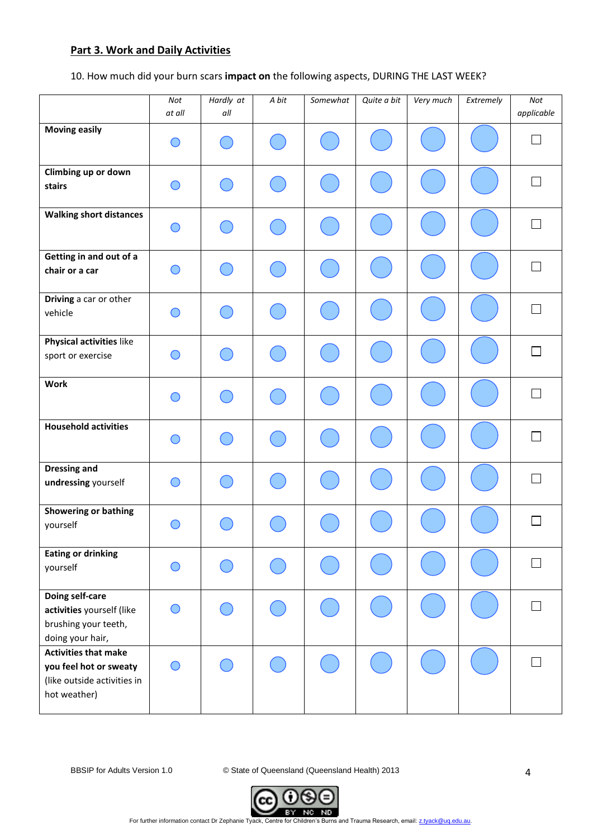# **Part 3. Work and Daily Activities**

10. How much did your burn scars **impact on** the following aspects, DURING THE LAST WEEK?

|                                                                                                      | Not<br>at all                               | Hardly at<br>all       | A bit | Somewhat | Quite a bit | Very much | Extremely | Not<br>applicable |
|------------------------------------------------------------------------------------------------------|---------------------------------------------|------------------------|-------|----------|-------------|-----------|-----------|-------------------|
| <b>Moving easily</b>                                                                                 | ◯                                           |                        |       |          |             |           |           |                   |
| Climbing up or down<br>stairs                                                                        | ∩                                           |                        |       |          |             |           |           | $\Box$            |
| <b>Walking short distances</b>                                                                       | ∩                                           |                        |       |          |             |           |           | $\sim$            |
| Getting in and out of a<br>chair or a car                                                            |                                             |                        |       |          |             |           |           |                   |
| Driving a car or other<br>vehicle                                                                    | $\bigcap$                                   |                        |       |          |             |           |           | $\sim$            |
| Physical activities like<br>sport or exercise                                                        |                                             | <b>Service Service</b> |       |          |             |           |           | П                 |
| <b>Work</b>                                                                                          | ∩                                           |                        |       |          |             |           |           | $\sim$            |
| <b>Household activities</b>                                                                          | $\left(\cdot\right)$                        |                        |       |          |             |           |           | $\sim$            |
| <b>Dressing and</b><br>undressing yourself                                                           | ∩                                           |                        |       |          |             |           |           |                   |
| Showering or bathing<br>yourself                                                                     |                                             |                        |       |          |             |           |           |                   |
| <b>Eating or drinking</b><br>yourself                                                                | ◯                                           |                        |       |          |             |           |           |                   |
| Doing self-care<br>activities yourself (like<br>brushing your teeth,<br>doing your hair,             |                                             |                        |       |          |             |           |           |                   |
| <b>Activities that make</b><br>you feel hot or sweaty<br>(like outside activities in<br>hot weather) | $\left(\begin{array}{c} \end{array}\right)$ |                        |       |          |             |           |           |                   |

BBSIP for Adults Version 1.0 © State of Queensland (Queensland Health) 2013



For further information contact Dr Zephanie Tyack, Centre for Children's Burns and Trauma Research, email[: z.tyack@uq.edu.au.](mailto:z.tyack@uq.edu.au)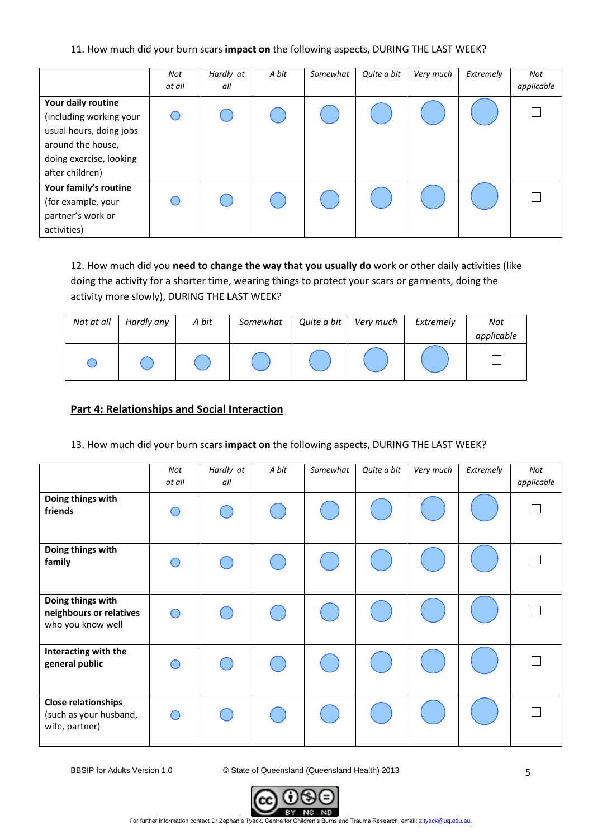#### 11. How much did your burn scars **impact on** the following aspects, DURING THE LAST WEEK?

|                                                                                                                                             | Not<br>at all | Hardly at<br>all | A bit | Somewhat | Quite a bit | Very much | Extremely | Not<br>applicable |
|---------------------------------------------------------------------------------------------------------------------------------------------|---------------|------------------|-------|----------|-------------|-----------|-----------|-------------------|
| Your daily routine<br>(including working your<br>usual hours, doing jobs<br>around the house,<br>doing exercise, looking<br>after children) |               |                  |       |          |             |           |           |                   |
| Your family's routine<br>(for example, your<br>partner's work or<br>activities)                                                             |               |                  |       |          |             |           |           |                   |

12. How much did you **need to change the way that you usually do** work or other daily activities (like doing the activity for a shorter time, wearing things to protect your scars or garments, doing the activity more slowly), DURING THE LAST WEEK?

| Not at all | Hardly any | A bit | Somewhat | Quite a bit | Very much | Extremely | Not        |
|------------|------------|-------|----------|-------------|-----------|-----------|------------|
|            |            |       |          |             |           |           | applicable |
|            |            |       |          |             |           |           |            |

# **Part 4: Relationships and Social Interaction**

#### 13. How much did your burn scars **impact on** the following aspects, DURING THE LAST WEEK?

|                                                                        | Not<br>at all | Hardly at<br>all | A bit | Somewhat | Quite a bit | Very much | Extremely | Not<br>applicable |
|------------------------------------------------------------------------|---------------|------------------|-------|----------|-------------|-----------|-----------|-------------------|
| Doing things with<br>friends                                           |               |                  |       |          |             |           |           |                   |
| Doing things with<br>family                                            |               |                  |       |          |             |           |           |                   |
| Doing things with<br>neighbours or relatives<br>who you know well      |               |                  |       |          |             |           |           |                   |
| Interacting with the<br>general public                                 |               |                  |       |          |             |           |           |                   |
| <b>Close relationships</b><br>(such as your husband,<br>wife, partner) |               |                  |       |          |             |           |           |                   |

BBSIP for Adults Version 1.0 © State of Queensland (Queensland Health) 2013

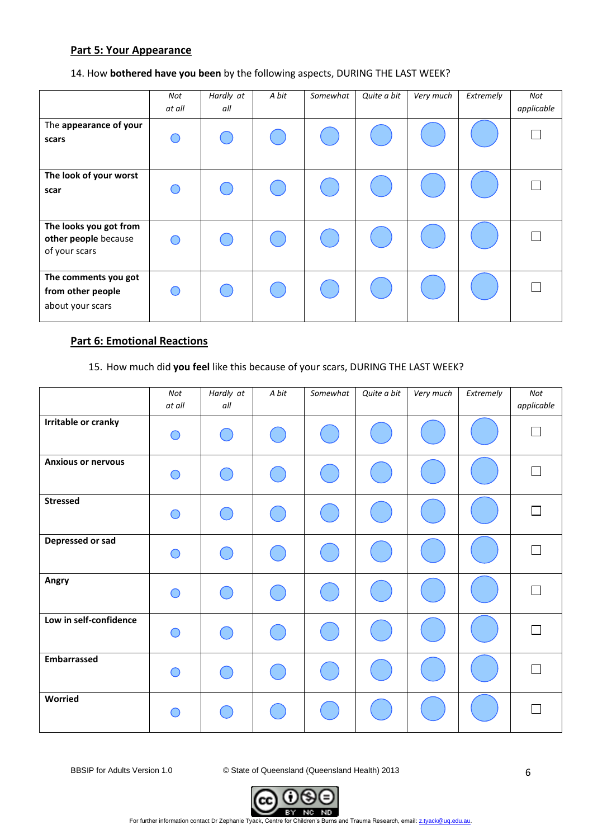### **Part 5: Your Appearance**

### 14. How **bothered have you been** by the following aspects, DURING THE LAST WEEK?

|                                                                 | Not<br>at all | Hardly at<br>all | A bit | Somewhat | Quite a bit | Very much | Extremely | Not<br>applicable |
|-----------------------------------------------------------------|---------------|------------------|-------|----------|-------------|-----------|-----------|-------------------|
| The appearance of your<br>scars                                 |               |                  |       |          |             |           |           |                   |
| The look of your worst<br>scar                                  |               |                  |       |          |             |           |           |                   |
| The looks you got from<br>other people because<br>of your scars |               |                  |       |          |             |           |           |                   |
| The comments you got<br>from other people<br>about your scars   |               |                  |       |          |             |           |           |                   |

# **Part 6: Emotional Reactions**

# 15. How much did **you feel** like this because of your scars, DURING THE LAST WEEK?

|                           | Not<br>at all | Hardly at<br>all | A bit                                         | Somewhat | Quite a bit | Very much | Extremely | Not<br>applicable |
|---------------------------|---------------|------------------|-----------------------------------------------|----------|-------------|-----------|-----------|-------------------|
| Irritable or cranky       | $\bigcirc$    | C.               |                                               |          |             |           |           | $\Box$            |
| <b>Anxious or nervous</b> | ∩             | $\subset$        | $\left( \begin{array}{c} \end{array} \right)$ |          |             |           |           | П                 |
| <b>Stressed</b>           | ∩             | C 1              |                                               |          |             |           |           | $\Box$            |
| Depressed or sad          | ◠             | $\overline{C}$   |                                               |          |             |           |           | $\Box$            |
| Angry                     | ∩             | $\sqrt{2}$       |                                               |          |             |           |           | П                 |
| Low in self-confidence    | $\bigcap$     | Œ                |                                               |          |             |           |           | П                 |
| <b>Embarrassed</b>        | ◯             |                  | $\left( \begin{array}{c} \end{array} \right)$ |          |             |           |           | $\Box$            |
| Worried                   | ◠             |                  |                                               |          |             |           |           | $\Box$            |

BBSIP for Adults Version 1.0 © State of Queensland (Queensland Health) 2013

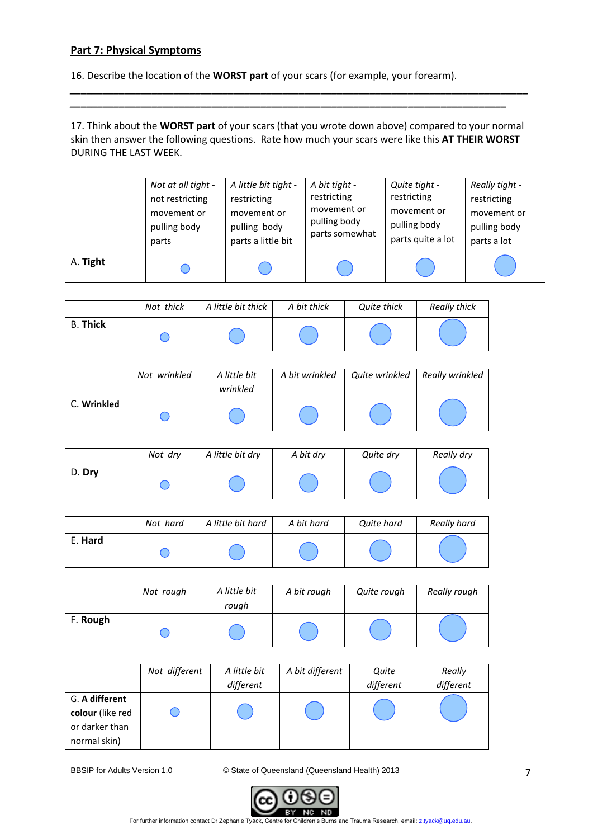# **Part 7: Physical Symptoms**

16. Describe the location of the **WORST part** of your scars (for example, your forearm).

17. Think about the **WORST part** of your scars (that you wrote down above) compared to your normal skin then answer the following questions. Rate how much your scars were like this **AT THEIR WORST** DURING THE LAST WEEK.

*\_\_\_\_\_\_\_\_\_\_\_\_\_\_\_\_\_\_\_\_\_\_\_\_\_\_\_\_\_\_\_\_\_\_\_\_\_\_\_\_\_\_\_\_\_\_\_\_\_\_\_\_\_\_\_\_\_\_\_\_\_\_\_\_\_\_\_\_\_\_\_\_\_\_\_\_\_\_\_\_\_\_\_\_ \_\_\_\_\_\_\_\_\_\_\_\_\_\_\_\_\_\_\_\_\_\_\_\_\_\_\_\_\_\_\_\_\_\_\_\_\_\_\_\_\_\_\_\_\_\_\_\_\_\_\_\_\_\_\_\_\_\_\_\_\_\_\_\_\_\_\_\_\_\_\_\_\_\_\_\_\_\_\_\_*

|          | Not at all tight - | A little bit tight - | A bit tight -  | Quite tight -     | Really tight - |
|----------|--------------------|----------------------|----------------|-------------------|----------------|
|          | not restricting    | restricting          | restricting    | restricting       | restricting    |
|          | movement or        | movement or          | movement or    | movement or       | movement or    |
|          | pulling body       | pulling body         | pulling body   | pulling body      | pulling body   |
|          | parts              | parts a little bit   | parts somewhat | parts quite a lot | parts a lot    |
| A. Tight |                    |                      |                |                   |                |

|                 | Not thick | A little bit thick | A bit thick | Quite thick | Really thick |
|-----------------|-----------|--------------------|-------------|-------------|--------------|
| <b>B. Thick</b> |           |                    |             |             |              |

|             | Not wrinkled | A little bit<br>wrinkled | A bit wrinkled | Quite wrinkled | Really wrinkled |
|-------------|--------------|--------------------------|----------------|----------------|-----------------|
| C. Wrinkled |              |                          |                |                |                 |

|        | Not dry | A little bit dry | A bit dry | Quite dry | Really dry |
|--------|---------|------------------|-----------|-----------|------------|
| D. Dry |         |                  |           |           |            |

|         | Not hard | A little bit hard | A bit hard | Quite hard | Really hard |
|---------|----------|-------------------|------------|------------|-------------|
| E. Hard |          |                   |            |            |             |

|          | Not rough | A little bit<br>rough | A bit rough | Quite rough | Really rough |
|----------|-----------|-----------------------|-------------|-------------|--------------|
| F. Rough |           |                       |             |             |              |

|                  | Not different | A little bit | A bit different | Quite     | Really    |  |
|------------------|---------------|--------------|-----------------|-----------|-----------|--|
|                  |               | different    |                 | different | different |  |
| G. A different   |               |              |                 |           |           |  |
| colour (like red |               |              |                 |           |           |  |
| or darker than   |               |              |                 |           |           |  |
| normal skin)     |               |              |                 |           |           |  |

BBSIP for Adults Version 1.0 © State of Queensland (Queensland Health) 2013



For further information contact Dr Zephanie Tyack, Centre for Children's Burns and Trauma Research, email[: z.tyack@uq.edu.au.](mailto:z.tyack@uq.edu.au)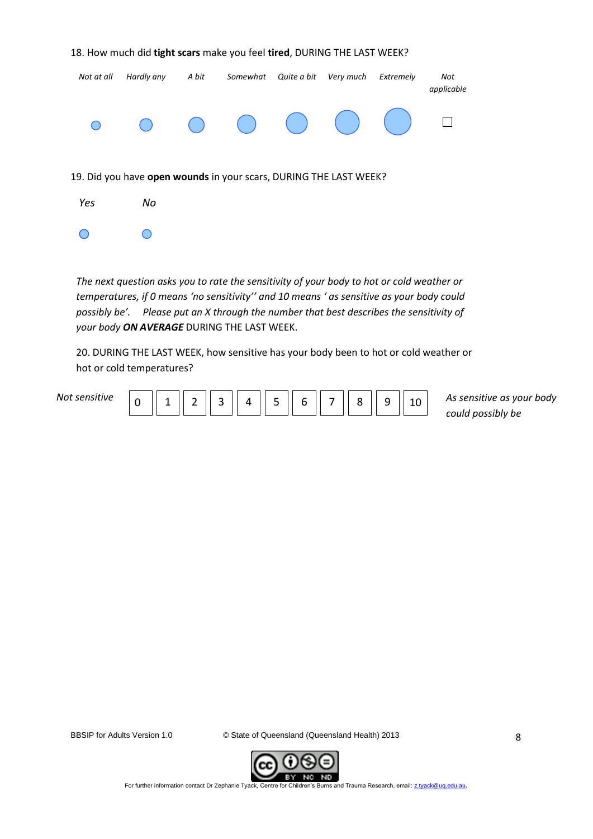| Not at all                                                        | Hardly any | A bit | Somewhat                               | Quite a bit                                    | Very much | Extremely | Not<br>applicable |  |  |
|-------------------------------------------------------------------|------------|-------|----------------------------------------|------------------------------------------------|-----------|-----------|-------------------|--|--|
|                                                                   |            |       | $\begin{pmatrix} 1 \\ 2 \end{pmatrix}$ | $\begin{pmatrix} 1 & 1 \\ 1 & 1 \end{pmatrix}$ |           |           |                   |  |  |
| 19. Did you have open wounds in your scars, DURING THE LAST WEEK? |            |       |                                        |                                                |           |           |                   |  |  |
| Yes                                                               | No         |       |                                        |                                                |           |           |                   |  |  |
|                                                                   |            |       |                                        |                                                |           |           |                   |  |  |

18. How much did **tight scars** make you feel **tired**, DURING THE LAST WEEK?

*The next question asks you to rate the sensitivity of your body to hot or cold weather or temperatures, if 0 means 'no sensitivity'' and 10 means ' as sensitive as your body could possibly be'. Please put an X through the number that best describes the sensitivity of your body ON AVERAGE* DURING THE LAST WEEK.

20. DURING THE LAST WEEK, how sensitive has your body been to hot or cold weather or hot or cold temperatures?

| المقادمات<br>Nr | ∼ | - | $\overline{\phantom{0}}$<br> | $\overline{\phantom{0}}$<br>ٮ | $\mathbf{a}$ | - | - | - | $\sim$ |  |  |
|-----------------|---|---|------------------------------|-------------------------------|--------------|---|---|---|--------|--|--|
|-----------------|---|---|------------------------------|-------------------------------|--------------|---|---|---|--------|--|--|

10 As sensitive as your body *could possibly be*

BBSIP for Adults Version 1.0 © State of Queensland (Queensland Health) 2013



For further information contact Dr Zephanie Tyack, Centre for Children's Burns and Trauma Research, email[: z.tyack@uq.edu.au.](mailto:z.tyack@uq.edu.au)